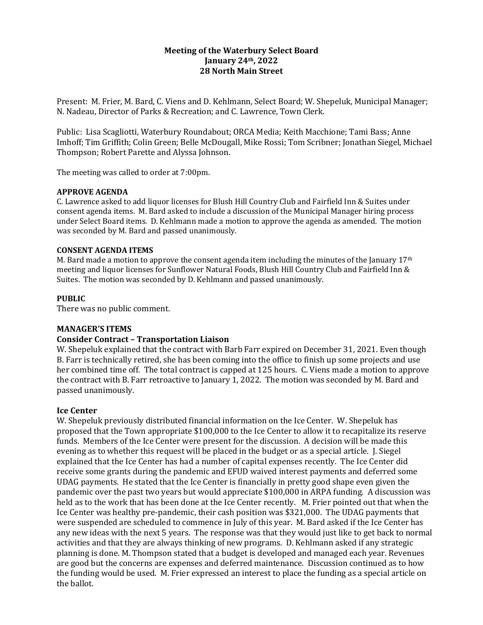# **Meeting of the Waterbury Select Board January 24th, 2022 28 North Main Street**

Present: M. Frier, M. Bard, C. Viens and D. Kehlmann, Select Board; W. Shepeluk, Municipal Manager; N. Nadeau, Director of Parks & Recreation; and C. Lawrence, Town Clerk.

Public: Lisa Scagliotti, Waterbury Roundabout; ORCA Media; Keith Macchione; Tami Bass; Anne Imhoff; Tim Griffith; Colin Green; Belle McDougall, Mike Rossi; Tom Scribner; Jonathan Siegel, Michael Thompson; Robert Parette and Alyssa Johnson.

The meeting was called to order at 7:00pm.

#### **APPROVE AGENDA**

C. Lawrence asked to add liquor licenses for Blush Hill Country Club and Fairfield Inn & Suites under consent agenda items. M. Bard asked to include a discussion of the Municipal Manager hiring process under Select Board items. D. Kehlmann made a motion to approve the agenda as amended. The motion was seconded by M. Bard and passed unanimously.

#### **CONSENT AGENDA ITEMS**

M. Bard made a motion to approve the consent agenda item including the minutes of the January  $17<sup>th</sup>$ meeting and liquor licenses for Sunflower Natural Foods, Blush Hill Country Club and Fairfield Inn & Suites. The motion was seconded by D. Kehlmann and passed unanimously.

### **PUBLIC**

There was no public comment.

### **MANAGER'S ITEMS**

### **Consider Contract – Transportation Liaison**

W. Shepeluk explained that the contract with Barb Farr expired on December 31, 2021. Even though B. Farr is technically retired, she has been coming into the office to finish up some projects and use her combined time off. The total contract is capped at 125 hours. C. Viens made a motion to approve the contract with B. Farr retroactive to January 1, 2022. The motion was seconded by M. Bard and passed unanimously.

### **Ice Center**

W. Shepeluk previously distributed financial information on the Ice Center. W. Shepeluk has proposed that the Town appropriate \$100,000 to the Ice Center to allow it to recapitalize its reserve funds. Members of the Ice Center were present for the discussion. A decision will be made this evening as to whether this request will be placed in the budget or as a special article. J. Siegel explained that the Ice Center has had a number of capital expenses recently. The Ice Center did receive some grants during the pandemic and EFUD waived interest payments and deferred some UDAG payments. He stated that the Ice Center is financially in pretty good shape even given the pandemic over the past two years but would appreciate \$100,000 in ARPA funding. A discussion was held as to the work that has been done at the Ice Center recently. M. Frier pointed out that when the Ice Center was healthy pre-pandemic, their cash position was \$321,000. The UDAG payments that were suspended are scheduled to commence in July of this year. M. Bard asked if the Ice Center has any new ideas with the next 5 years. The response was that they would just like to get back to normal activities and that they are always thinking of new programs. D. Kehlmann asked if any strategic planning is done. M. Thompson stated that a budget is developed and managed each year. Revenues are good but the concerns are expenses and deferred maintenance. Discussion continued as to how the funding would be used. M. Frier expressed an interest to place the funding as a special article on the ballot.